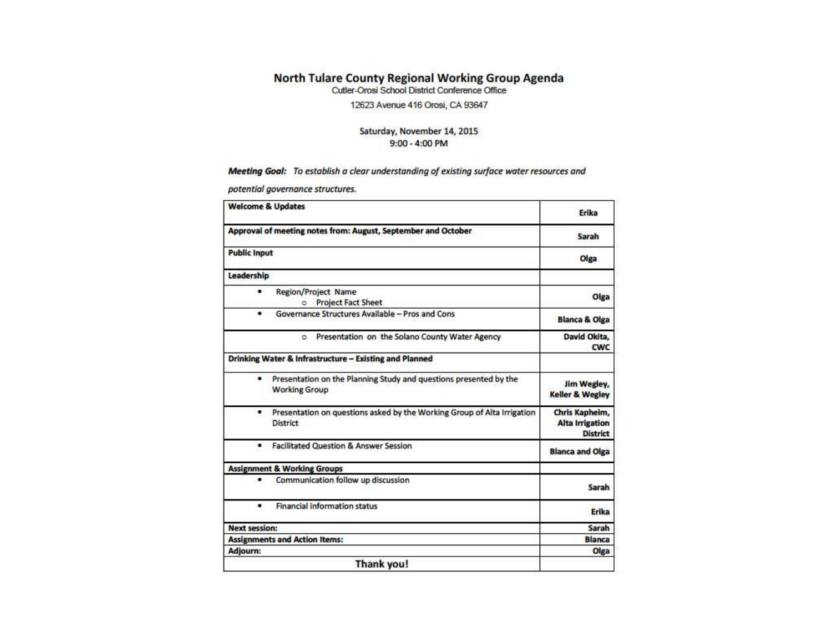# **North Tulare County Regional Working Group Agenda**<br>Cutler-Orosi School District Conference Office

12623 Avenue 416 Orosi, CA 93647

### Saturday, November 14, 2015 9:00 - 4:00 PM

### Meeting Goal: To establish a clear understanding of existing surface water resources and

potential governance structures.

| <b>Welcome &amp; Updates</b>                                                                           | Erika                                                       |
|--------------------------------------------------------------------------------------------------------|-------------------------------------------------------------|
| Approval of meeting notes from: August, September and October                                          | Sarah                                                       |
| <b>Public Input</b>                                                                                    | Olga                                                        |
| Leadership                                                                                             |                                                             |
| <b>Region/Project Name</b><br>٠<br><b>Project Fact Sheet</b><br>$\circ$                                | Olga                                                        |
| Governance Structures Available - Pros and Cons<br>٠                                                   | <b>Blanca &amp; Olga</b>                                    |
| Presentation on the Solano County Water Agency<br>$\circ$                                              | David Okita,<br><b>CWC</b>                                  |
| Drinking Water & Infrastructure - Existing and Planned                                                 |                                                             |
| Presentation on the Planning Study and questions presented by the<br>$\bullet$<br><b>Working Group</b> | Jim Wegley,<br><b>Keller &amp; Wegley</b>                   |
| Presentation on questions asked by the Working Group of Alta Irrigation<br>٠<br><b>District</b>        | Chris Kapheim,<br><b>Alta Irrigation</b><br><b>District</b> |
| <b>Facilitated Question &amp; Answer Session</b><br>٠                                                  | <b>Blanca and Olga</b>                                      |
| <b>Assignment &amp; Working Groups</b>                                                                 |                                                             |
| Communication follow up discussion<br>٠                                                                | Sarah                                                       |
| <b>Financial information status</b><br>٠                                                               | Erika                                                       |
| <b>Next session:</b>                                                                                   | Sarah                                                       |
| <b>Assignments and Action Items:</b>                                                                   | <b>Blanca</b>                                               |
| Adjourn:                                                                                               | Olga                                                        |
| Thank you!                                                                                             |                                                             |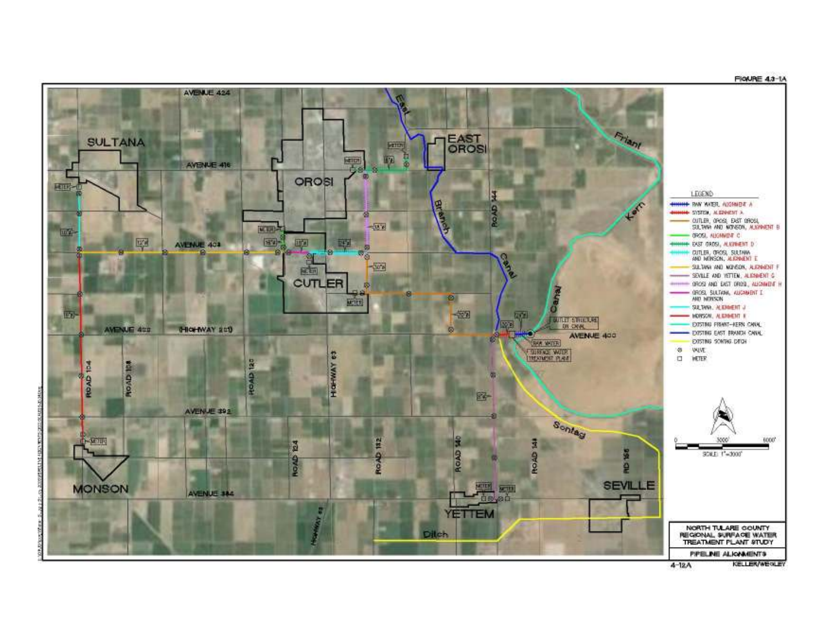

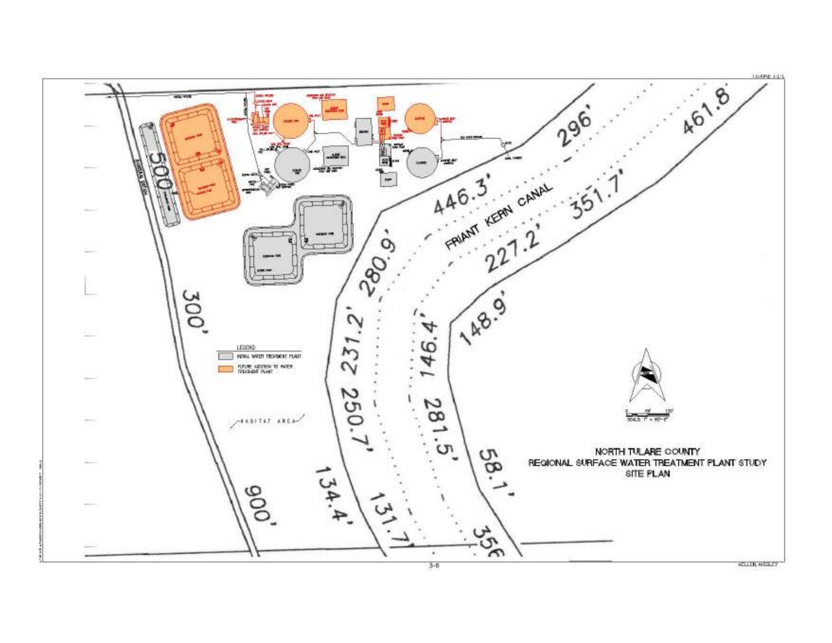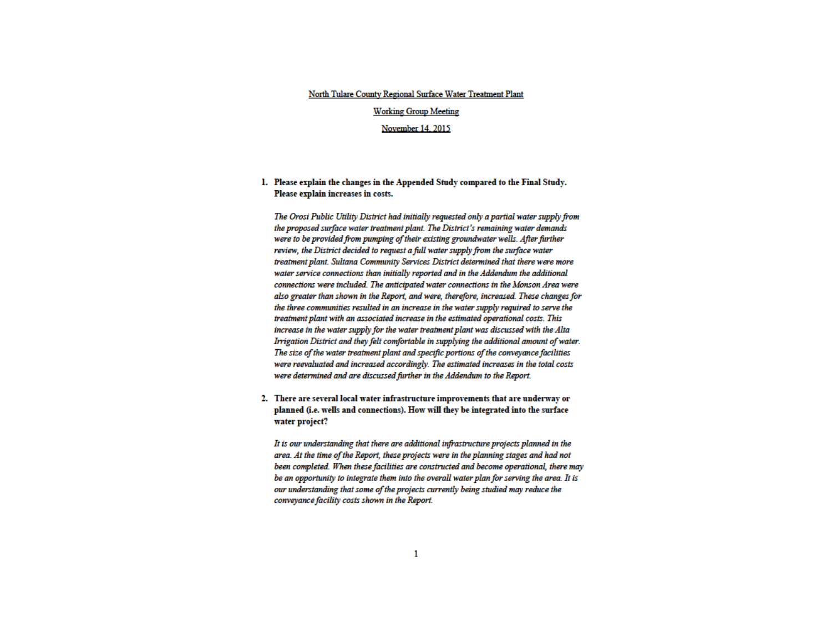#### North Tulare County Regional Surface Water Treatment Plant

#### **Working Group Meeting**

#### November 14, 2015

### 1. Please explain the changes in the Appended Study compared to the Final Study. Please explain increases in costs.

The Orosi Public Utility District had initially requested only a partial water supply from the proposed surface water treatment plant. The District's remaining water demands were to be provided from pumping of their existing groundwater wells. After further review, the District decided to request a full water supply from the surface water treatment plant. Sultana Community Services District determined that there were more water service connections than initially reported and in the Addendum the additional connections were included. The anticipated water connections in the Monson Area were also greater than shown in the Report, and were, therefore, increased. These changes for the three communities resulted in an increase in the water supply required to serve the treatment plant with an associated increase in the estimated operational costs. This increase in the water supply for the water treatment plant was discussed with the Alta Irrigation District and they felt comfortable in supplying the additional amount of water. The size of the water treatment plant and specific portions of the conveyance facilities were reevaluated and increased accordingly. The estimated increases in the total costs were determined and are discussed further in the Addendum to the Report.

2. There are several local water infrastructure improvements that are underway or planned (i.e. wells and connections). How will they be integrated into the surface water project?

It is our understanding that there are additional infrastructure projects planned in the area. At the time of the Report, these projects were in the planning stages and had not been completed. When these facilities are constructed and become operational, there may be an opportunity to integrate them into the overall water plan for serving the area. It is our understanding that some of the projects currently being studied may reduce the conveyance facility costs shown in the Report.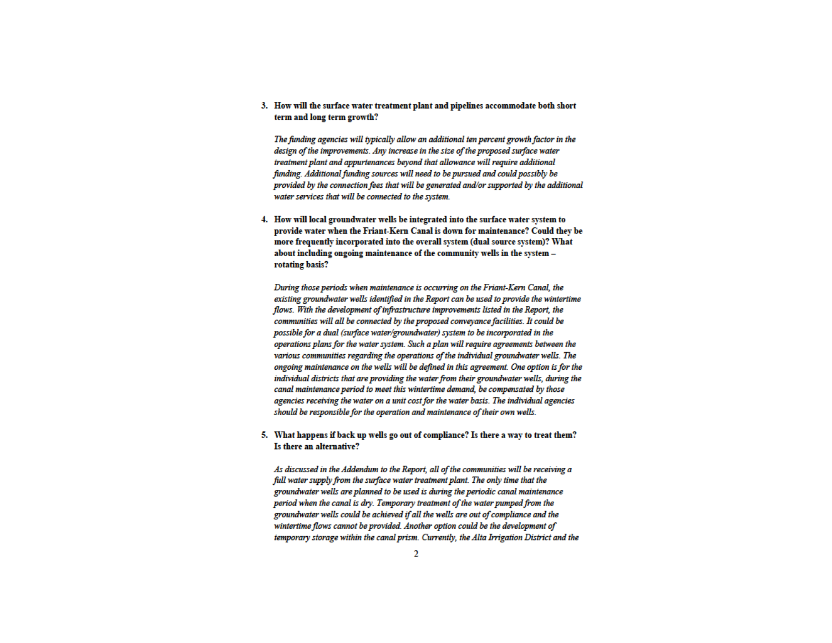3. How will the surface water treatment plant and pipelines accommodate both short term and long term growth?

The funding agencies will typically allow an additional ten percent growth factor in the design of the improvements. Any increase in the size of the proposed surface water treatment plant and appurtenances beyond that allowance will require additional funding. Additional funding sources will need to be pursued and could possibly be provided by the connection fees that will be generated and/or supported by the additional water services that will be connected to the system.

4. How will local groundwater wells be integrated into the surface water system to provide water when the Friant-Kern Canal is down for maintenance? Could they be more frequently incorporated into the overall system (dual source system)? What about including ongoing maintenance of the community wells in the system rotating basis?

During those periods when maintenance is occurring on the Friant-Kern Canal, the existing groundwater wells identified in the Report can be used to provide the wintertime flows. With the development of infrastructure improvements listed in the Report, the communities will all be connected by the proposed conveyance facilities. It could be possible for a dual (surface water/groundwater) system to be incorporated in the operations plans for the water system. Such a plan will require agreements between the various communities regarding the operations of the individual groundwater wells. The ongoing maintenance on the wells will be defined in this agreement. One option is for the individual districts that are providing the water from their groundwater wells, during the canal maintenance period to meet this wintertime demand, be compensated by those agencies receiving the water on a unit cost for the water basis. The individual agencies should be responsible for the operation and maintenance of their own wells.

### 5. What happens if back up wells go out of compliance? Is there a way to treat them? Is there an alternative?

As discussed in the Addendum to the Report, all of the communities will be receiving a full water supply from the surface water treatment plant. The only time that the groundwater wells are planned to be used is during the periodic canal maintenance period when the canal is dry. Temporary treatment of the water pumped from the groundwater wells could be achieved if all the wells are out of compliance and the wintertime flows cannot be provided. Another option could be the development of temporary storage within the canal prism. Currently, the Alta Irrigation District and the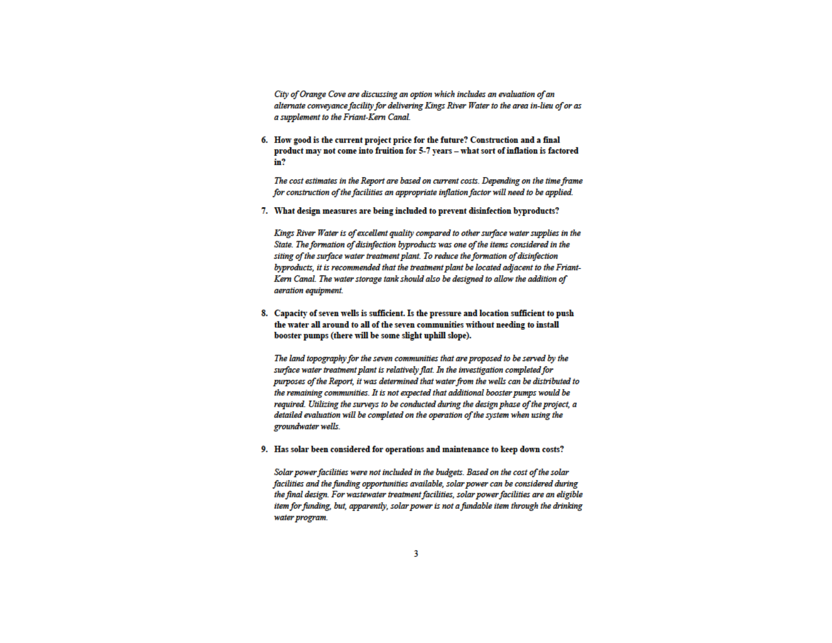City of Orange Cove are discussing an option which includes an evaluation of an alternate conveyance facility for delivering Kings River Water to the area in-lieu of or as a supplement to the Friant-Kern Canal.

6. How good is the current project price for the future? Construction and a final product may not come into fruition for 5-7 years - what sort of inflation is factored in?

The cost estimates in the Report are based on current costs. Depending on the time frame for construction of the facilities an appropriate inflation factor will need to be applied.

7. What design measures are being included to prevent disinfection byproducts?

Kings River Water is of excellent quality compared to other surface water supplies in the State. The formation of disinfection byproducts was one of the items considered in the siting of the surface water treatment plant. To reduce the formation of disinfection byproducts, it is recommended that the treatment plant be located adjacent to the Friant-Kern Canal. The water storage tank should also be designed to allow the addition of aeration equipment.

8. Capacity of seven wells is sufficient. Is the pressure and location sufficient to push the water all around to all of the seven communities without needing to install booster pumps (there will be some slight uphill slope).

The land topography for the seven communities that are proposed to be served by the surface water treatment plant is relatively flat. In the investigation completed for purposes of the Report, it was determined that water from the wells can be distributed to the remaining communities. It is not expected that additional booster pumps would be required. Utilizing the surveys to be conducted during the design phase of the project, a detailed evaluation will be completed on the operation of the system when using the groundwater wells.

9. Has solar been considered for operations and maintenance to keep down costs?

Solar power facilities were not included in the budgets. Based on the cost of the solar facilities and the funding opportunities available, solar power can be considered during the final design. For wastewater treatment facilities, solar power facilities are an eligible item for funding, but, apparently, solar power is not a fundable item through the drinking water program.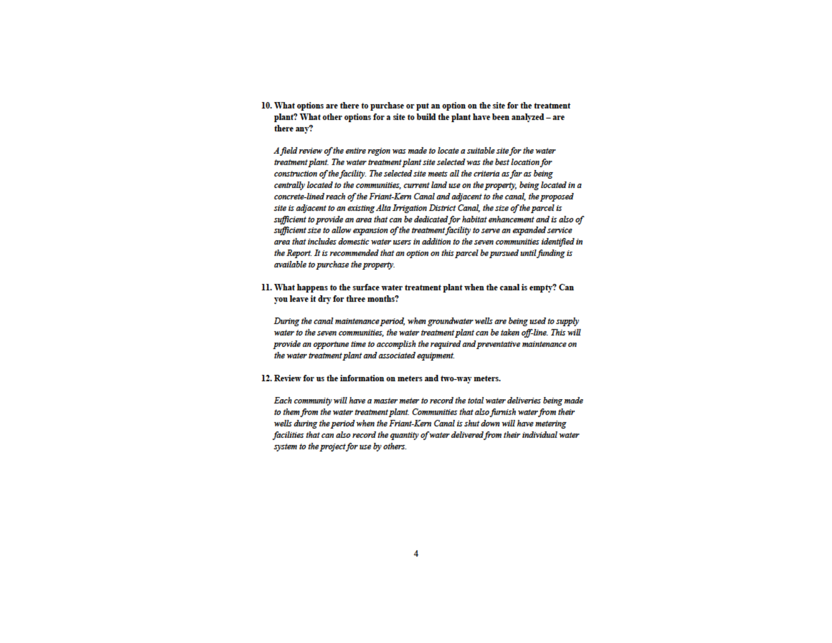10. What options are there to purchase or put an option on the site for the treatment plant? What other options for a site to build the plant have been analyzed - are there any?

A field review of the entire region was made to locate a suitable site for the water treatment plant. The water treatment plant site selected was the best location for construction of the facility. The selected site meets all the criteria as far as being centrally located to the communities, current land use on the property, being located in a concrete-lined reach of the Friant-Kern Canal and adjacent to the canal, the proposed site is adjacent to an existing Alta Irrigation District Canal, the size of the parcel is sufficient to provide an area that can be dedicated for habitat enhancement and is also of sufficient size to allow expansion of the treatment facility to serve an expanded service area that includes domestic water users in addition to the seven communities identified in the Report. It is recommended that an option on this parcel be pursued until funding is available to purchase the property.

11. What happens to the surface water treatment plant when the canal is empty? Can you leave it dry for three months?

During the canal maintenance period, when groundwater wells are being used to supply water to the seven communities, the water treatment plant can be taken off-line. This will provide an opportune time to accomplish the required and preventative maintenance on the water treatment plant and associated equipment.

12. Review for us the information on meters and two-way meters.

Each community will have a master meter to record the total water deliveries being made to them from the water treatment plant. Communities that also furnish water from their wells during the period when the Friant-Kern Canal is shut down will have metering facilities that can also record the quantity of water delivered from their individual water system to the project for use by others.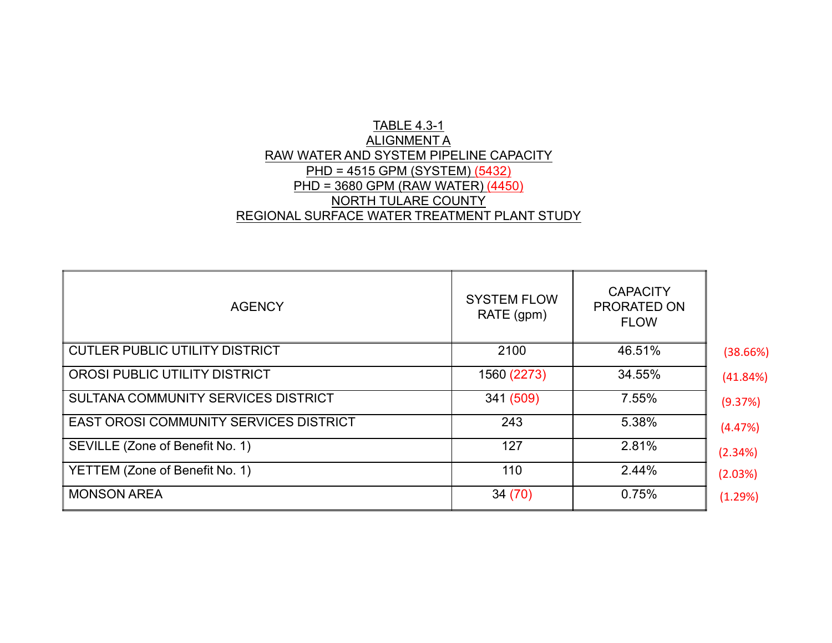# TABLE 4.3-1 ALIGNMENT A RAW WATER AND SYSTEM PIPELINE CAPACITYPHD = 4515 GPM (SYSTEM) (5432) PHD = 3680 GPM (RAW WATER) (4450)NORTH TULARE COUNTYREGIONAL SURFACE WATER TREATMENT PLANT STUDY

| <b>AGENCY</b>                                 | <b>SYSTEM FLOW</b><br>RATE (gpm) | <b>CAPACITY</b><br>PRORATED ON<br><b>FLOW</b> |          |
|-----------------------------------------------|----------------------------------|-----------------------------------------------|----------|
| <b>CUTLER PUBLIC UTILITY DISTRICT</b>         | 2100                             | 46.51%                                        | (38.66%) |
| OROSI PUBLIC UTILITY DISTRICT                 | 1560 (2273)                      | 34.55%                                        | (41.84%) |
| SULTANA COMMUNITY SERVICES DISTRICT           | 341 (509)                        | 7.55%                                         | (9.37%)  |
| <b>EAST OROSI COMMUNITY SERVICES DISTRICT</b> | 243                              | 5.38%                                         | (4.47%)  |
| SEVILLE (Zone of Benefit No. 1)               | 127                              | 2.81%                                         | (2.34%)  |
| YETTEM (Zone of Benefit No. 1)                | 110                              | 2.44%                                         | (2.03%)  |
| <b>MONSON AREA</b>                            | 34 (70)                          | 0.75%                                         | (1.29%)  |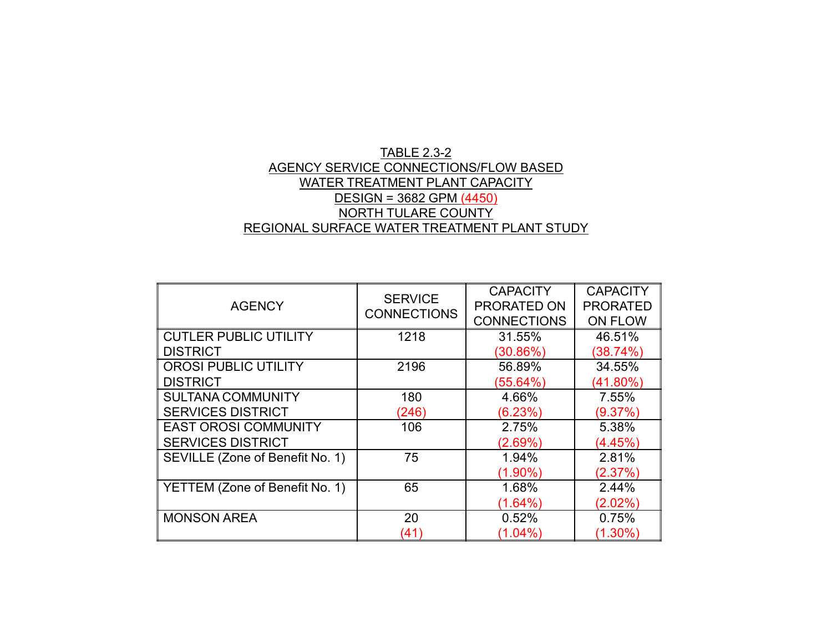### TABLE 2.3-2 AGENCY SERVICE CONNECTIONS/FLOW BASED WATER TREATMENT PLANT CAPACITYDESIGN = 3682 GPM (4450) NORTH TULARE COUNTYREGIONAL SURFACE WATER TREATMENT PLANT STUDY

| <b>AGENCY</b>                   | <b>SERVICE</b><br><b>CONNECTIONS</b> | <b>CAPACITY</b><br>PRORATED ON<br><b>CONNECTIONS</b> | <b>CAPACITY</b><br><b>PRORATED</b><br><b>ON FLOW</b> |  |  |
|---------------------------------|--------------------------------------|------------------------------------------------------|------------------------------------------------------|--|--|
| <b>CUTLER PUBLIC UTILITY</b>    | 1218                                 | 31.55%                                               | 46.51%                                               |  |  |
| <b>DISTRICT</b>                 |                                      | (30.86%)                                             | (38.74%)                                             |  |  |
| <b>OROSI PUBLIC UTILITY</b>     | 2196                                 | 56.89%                                               | 34.55%                                               |  |  |
| <b>DISTRICT</b>                 |                                      | (55.64%)                                             | $(41.80\%)$                                          |  |  |
| <b>SULTANA COMMUNITY</b>        | 180                                  | 4.66%                                                | 7.55%                                                |  |  |
| <b>SERVICES DISTRICT</b>        | (246)                                | (6.23%)                                              | (9.37%)                                              |  |  |
| <b>EAST OROSI COMMUNITY</b>     | 106                                  | 2.75%                                                | 5.38%                                                |  |  |
| <b>SERVICES DISTRICT</b>        |                                      | (2.69%)                                              | (4.45%)                                              |  |  |
| SEVILLE (Zone of Benefit No. 1) | 75                                   | 1.94%                                                | 2.81%                                                |  |  |
|                                 |                                      | $(1.90\%)$                                           | (2.37%)                                              |  |  |
| YETTEM (Zone of Benefit No. 1)  | 65                                   | 1.68%                                                | 2.44%                                                |  |  |
|                                 |                                      | (1.64%)                                              | $(2.02\%)$                                           |  |  |
| <b>MONSON AREA</b>              | 20                                   | 0.52%                                                | 0.75%                                                |  |  |
|                                 | (41)                                 | $(1.04\%)$                                           | $(1.30\%)$                                           |  |  |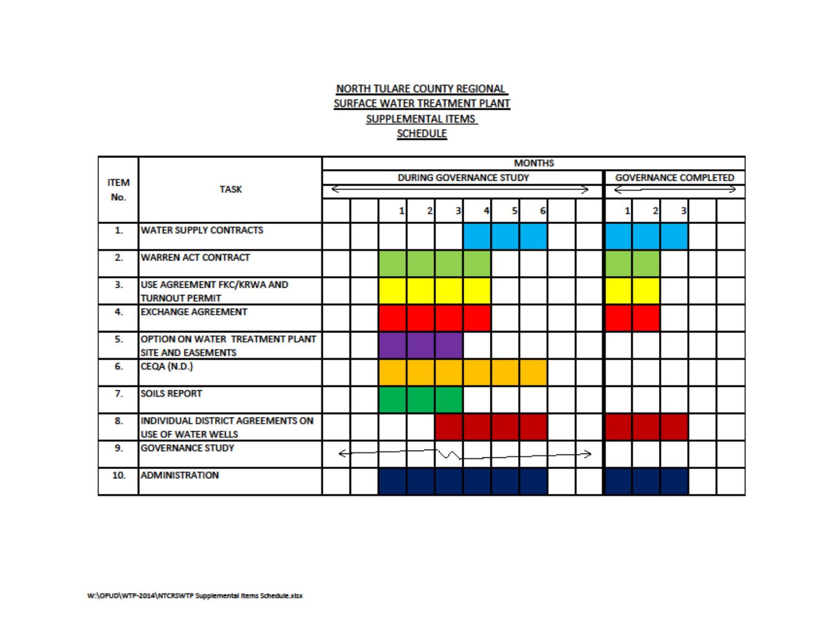# **NORTH TULARE COUNTY REGIONAL SURFACE WATER TREATMENT PLANT SUPPLEMENTAL ITEMS SCHEDULE**

|             |                                                                |   |  |                                |  | <b>MONTHS</b> |    |   |  |  |                             |  |
|-------------|----------------------------------------------------------------|---|--|--------------------------------|--|---------------|----|---|--|--|-----------------------------|--|
| <b>ITEM</b> |                                                                |   |  | <b>DURING GOVERNANCE STUDY</b> |  |               |    |   |  |  | <b>GOVERNANCE COMPLETED</b> |  |
| No.         | <b>TASK</b>                                                    | ÷ |  |                                |  |               | ۰, | ← |  |  |                             |  |
|             |                                                                |   |  |                                |  |               |    |   |  |  |                             |  |
| 1.          | <b>WATER SUPPLY CONTRACTS</b>                                  |   |  |                                |  |               |    |   |  |  |                             |  |
| 2.          | <b>WARREN ACT CONTRACT</b>                                     |   |  |                                |  |               |    |   |  |  |                             |  |
| 3.          | USE AGREEMENT FKC/KRWA AND<br><b>TURNOUT PERMIT</b>            |   |  |                                |  |               |    |   |  |  |                             |  |
| 4.          | <b>EXCHANGE AGREEMENT</b>                                      |   |  |                                |  |               |    |   |  |  |                             |  |
| 5.          | OPTION ON WATER TREATMENT PLANT<br>SITE AND EASEMENTS          |   |  |                                |  |               |    |   |  |  |                             |  |
| 6.          | CEQA (N.D.)                                                    |   |  |                                |  |               |    |   |  |  |                             |  |
| 7.          | <b>SOILS REPORT</b>                                            |   |  |                                |  |               |    |   |  |  |                             |  |
| 8.          | INDIVIDUAL DISTRICT AGREEMENTS ON<br><b>USE OF WATER WELLS</b> |   |  |                                |  |               |    |   |  |  |                             |  |
| 9.          | <b>GOVERNANCE STUDY</b>                                        | ← |  |                                |  |               | ⇒  |   |  |  |                             |  |
| 10.         | <b>ADMINISTRATION</b>                                          |   |  |                                |  |               |    |   |  |  |                             |  |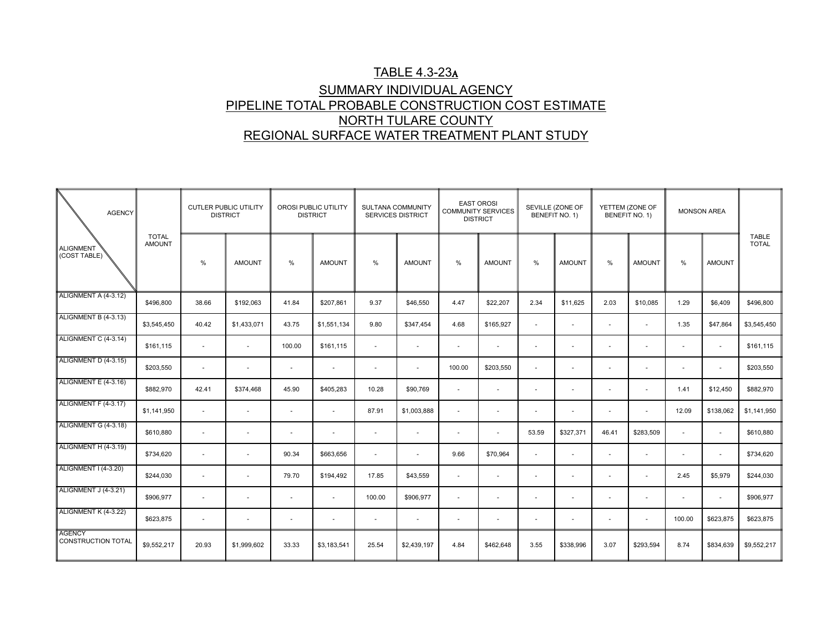# TABLE 4.3-23A SUMMARY INDIVIDUAL AGENCY PIPELINE TOTAL PROBABLE CONSTRUCTION COST ESTIMATENORTH TULARE COUNTYREGIONAL SURFACE WATER TREATMENT PLANT STUDY

| <b>AGENCY</b>                       |                               | <b>CUTLER PUBLIC UTILITY</b><br><b>DISTRICT</b> |                          |                          | OROSI PUBLIC UTILITY<br><b>DISTRICT</b> | SULTANA COMMUNITY<br><b>SERVICES DISTRICT</b> |               | <b>EAST OROSI</b><br><b>COMMUNITY SERVICES</b><br><b>DISTRICT</b> |               | SEVILLE (ZONE OF         | BENEFIT NO. 1)           | YETTEM (ZONE OF          | BENEFIT NO. 1)           | <b>MONSON AREA</b>       |                          |                              |
|-------------------------------------|-------------------------------|-------------------------------------------------|--------------------------|--------------------------|-----------------------------------------|-----------------------------------------------|---------------|-------------------------------------------------------------------|---------------|--------------------------|--------------------------|--------------------------|--------------------------|--------------------------|--------------------------|------------------------------|
| ALIGNMENT<br>(COST TABLE)           | <b>TOTAL</b><br><b>AMOUNT</b> | %                                               | <b>AMOUNT</b>            | $\frac{0}{0}$            | <b>AMOUNT</b>                           | %                                             | <b>AMOUNT</b> | $\%$                                                              | <b>AMOUNT</b> | $\%$                     | <b>AMOUNT</b>            | %                        | <b>AMOUNT</b>            | %                        | <b>AMOUNT</b>            | <b>TABLE</b><br><b>TOTAL</b> |
| ALIGNMENT A (4-3.12)                | \$496,800                     | 38.66                                           | \$192,063                | 41.84                    | \$207,861                               | 9.37                                          | \$46,550      | 4.47                                                              | \$22,207      | 2.34                     | \$11,625                 | 2.03                     | \$10,085                 | 1.29                     | \$6,409                  | \$496,800                    |
| ALIGNMENT B (4-3.13)                | \$3,545,450                   | 40.42                                           | \$1,433,071              | 43.75                    | \$1,551,134                             | 9.80                                          | \$347,454     | 4.68                                                              | \$165,927     | $\sim$                   | $\sim$                   | $\overline{\phantom{a}}$ | $\sim$                   | 1.35                     | \$47,864                 | \$3,545,450                  |
| ALIGNMENT C (4-3.14)                | \$161,115                     | $\sim$                                          | $\sim$                   | 100.00                   | \$161,115                               | $\sim$                                        | $\sim$        | $\overline{\phantom{a}}$                                          | $\sim$        | $\sim$                   | $\overline{\phantom{a}}$ | $\overline{\phantom{a}}$ | $\sim$                   | $\sim$                   | $\sim$                   | \$161,115                    |
| ALIGNMENT D (4-3.15)                | \$203,550                     | $\sim$                                          | $\overline{\phantom{a}}$ | $\overline{\phantom{a}}$ | $\overline{\phantom{a}}$                | $\overline{\phantom{a}}$                      | $\sim$        | 100.00                                                            | \$203,550     | $\overline{\phantom{a}}$ | $\sim$                   | $\overline{\phantom{a}}$ |                          | $\overline{\phantom{a}}$ | $\overline{\phantom{a}}$ | \$203,550                    |
| ALIGNMENT E (4-3.16)                | \$882,970                     | 42.41                                           | \$374,468                | 45.90                    | \$405,283                               | 10.28                                         | \$90,769      | $\overline{\phantom{a}}$                                          | $\sim$        | $\sim$                   | $\overline{a}$           |                          | $\sim$                   | 1.41                     | \$12,450                 | \$882,970                    |
| ALIGNMENT F (4-3.17)                | \$1,141,950                   | $\overline{\phantom{a}}$                        | $\sim$                   | $\sim$                   | $\sim$                                  | 87.91                                         | \$1,003,888   | $\overline{\phantom{a}}$                                          | $\sim$        | $\sim$                   | $\sim$                   | $\overline{\phantom{a}}$ | $\overline{\phantom{a}}$ | 12.09                    | \$138,062                | \$1,141,950                  |
| ALIGNMENT G (4-3.18)                | \$610,880                     | ÷,                                              | $\sim$                   | $\sim$                   | $\sim$                                  | $\sim$                                        | $\sim$        |                                                                   | $\sim$        | 53.59                    | \$327,371                | 46.41                    | \$283,509                | $\sim$                   | $\sim$                   | \$610,880                    |
| ALIGNMENT H (4-3.19)                | \$734,620                     | $\sim$                                          | $\sim$                   | 90.34                    | \$663,656                               | $\sim$                                        | $\sim$        | 9.66                                                              | \$70,964      | $\sim$                   | $\sim$                   | $\overline{a}$           | $\overline{a}$           | $\sim$                   | $\overline{\phantom{a}}$ | \$734,620                    |
| ALIGNMENT I (4-3.20)                | \$244,030                     | $\sim$                                          | $\sim$                   | 79.70                    | \$194,492                               | 17.85                                         | \$43,559      | $\sim$                                                            | $\sim$        | $\sim$                   | $\sim$                   | $\overline{\phantom{a}}$ | $\sim$                   | 2.45                     | \$5,979                  | \$244,030                    |
| ALIGNMENT J (4-3.21)                | \$906,977                     | $\overline{\phantom{a}}$                        |                          | $\sim$                   | $\sim$                                  | 100.00                                        | \$906,977     | $\overline{a}$                                                    | $\sim$        | $\overline{\phantom{a}}$ | $\overline{\phantom{a}}$ |                          |                          | $\overline{\phantom{a}}$ | $\sim$                   | \$906,977                    |
| ALIGNMENT K (4-3.22)                | \$623,875                     | $\sim$                                          | $\sim$                   | $\sim$                   | $\sim$                                  | $\sim$                                        | $\sim$        | $\overline{\phantom{a}}$                                          | $\sim$        | $\overline{\phantom{a}}$ | $\sim$                   | $\overline{\phantom{a}}$ | $\sim$                   | 100.00                   | \$623,875                | \$623,875                    |
| <b>AGENCY</b><br>CONSTRUCTION TOTAL | \$9,552,217                   | 20.93                                           | \$1,999,602              | 33.33                    | \$3,183,541                             | 25.54                                         | \$2,439,197   | 4.84                                                              | \$462,648     | 3.55                     | \$338,996                | 3.07                     | \$293,594                | 8.74                     | \$834,639                | \$9,552,217                  |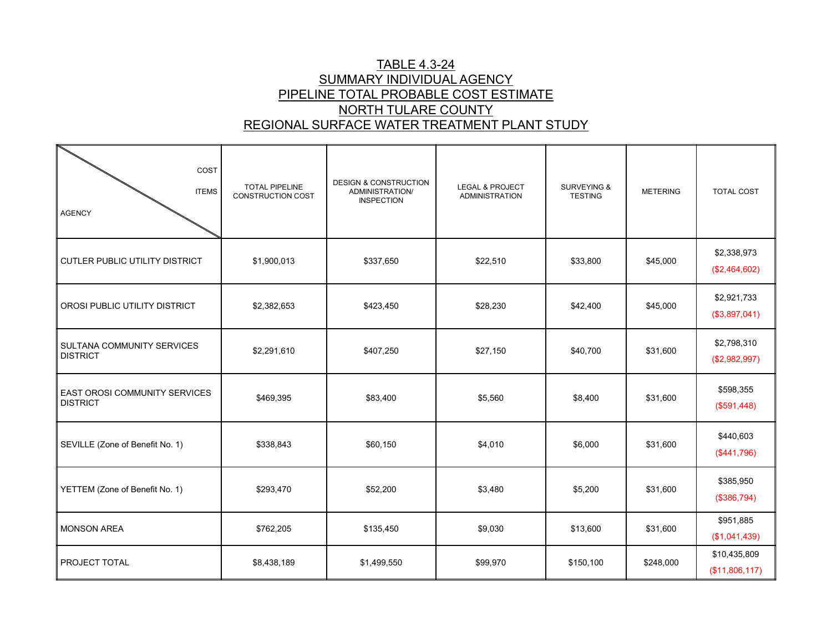## TABLE 4.3-24 SUMMARY INDIVIDUAL AGENCY PIPELINE TOTAL PROBABLE COST ESTIMATENORTH TULARE COUNTYREGIONAL SURFACE WATER TREATMENT PLANT STUDY

| COST<br><b>ITEMS</b><br><b>AGENCY</b>                   | TOTAL PIPELINE<br><b>CONSTRUCTION COST</b> | <b>DESIGN &amp; CONSTRUCTION</b><br>ADMINISTRATION/<br><b>INSPECTION</b> | <b>LEGAL &amp; PROJECT</b><br><b>ADMINISTRATION</b> | <b>SURVEYING &amp;</b><br><b>TESTING</b> | <b>METERING</b> | <b>TOTAL COST</b>              |
|---------------------------------------------------------|--------------------------------------------|--------------------------------------------------------------------------|-----------------------------------------------------|------------------------------------------|-----------------|--------------------------------|
| <b>CUTLER PUBLIC UTILITY DISTRICT</b>                   | \$1,900,013                                | \$337,650                                                                | \$22,510                                            | \$33,800                                 | \$45,000        | \$2,338,973<br>(\$2,464,602)   |
| OROSI PUBLIC UTILITY DISTRICT                           | \$2,382,653                                | \$423,450                                                                | \$28,230                                            | \$42,400                                 | \$45,000        | \$2,921,733<br>(\$3,897,041)   |
| SULTANA COMMUNITY SERVICES<br><b>DISTRICT</b>           | \$2,291,610                                | \$407,250                                                                | \$27,150                                            | \$40,700                                 | \$31,600        | \$2,798,310<br>(\$2,982,997)   |
| <b>EAST OROSI COMMUNITY SERVICES</b><br><b>DISTRICT</b> | \$469,395                                  | \$83,400                                                                 | \$5,560                                             | \$8,400                                  | \$31,600        | \$598,355<br>(\$591,448)       |
| SEVILLE (Zone of Benefit No. 1)                         | \$338,843                                  | \$60,150                                                                 | \$4,010                                             | \$6,000                                  | \$31,600        | \$440,603<br>(\$441,796)       |
| YETTEM (Zone of Benefit No. 1)                          | \$293,470                                  | \$52,200                                                                 | \$3,480                                             | \$5,200                                  | \$31,600        | \$385,950<br>(\$386,794)       |
| <b>MONSON AREA</b>                                      | \$762,205                                  | \$135,450                                                                | \$9,030                                             | \$13,600                                 | \$31,600        | \$951,885<br>(\$1,041,439)     |
| PROJECT TOTAL                                           | \$8,438,189                                | \$1,499,550                                                              | \$99,970                                            | \$150,100                                | \$248,000       | \$10,435,809<br>(\$11,806,117) |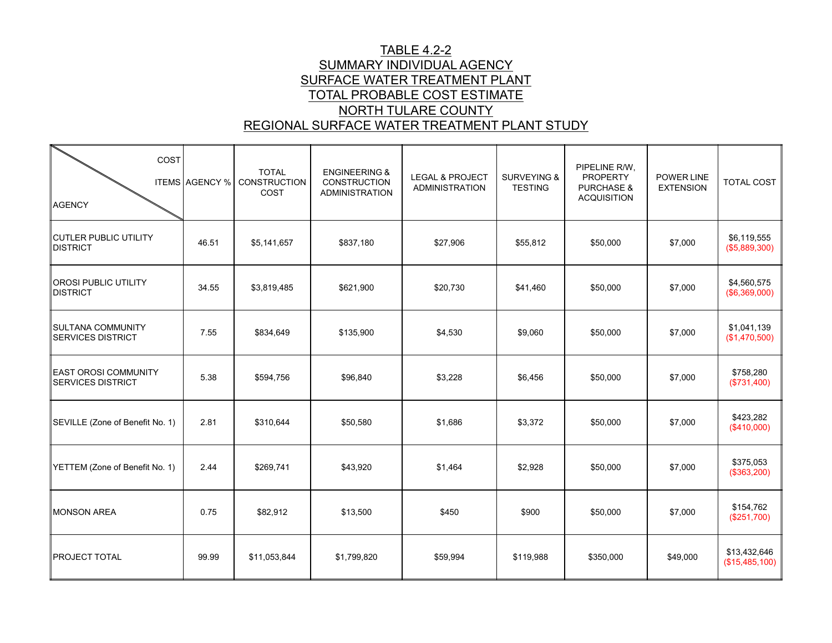# TABLE 4.2-2 SUMMARY INDIVIDUAL AGENCY SURFACE WATER TREATMENT PLANT TOTAL PROBABLE COST ESTIMATENORTH TULARE COUNTYREGIONAL SURFACE WATER TREATMENT PLANT STUDY

| COST<br><b>AGENCY</b>                                   | <b>ITEMS AGENCY %</b> | <b>TOTAL</b><br>CONSTRUCTION<br>COST | <b>ENGINEERING &amp;</b><br><b>CONSTRUCTION</b><br><b>ADMINISTRATION</b> | <b>LEGAL &amp; PROJECT</b><br><b>ADMINISTRATION</b> | <b>SURVEYING &amp;</b><br><b>TESTING</b> | PIPELINE R/W,<br><b>PROPERTY</b><br><b>PURCHASE &amp;</b><br><b>ACQUISITION</b> | <b>POWER LINE</b><br><b>EXTENSION</b> | <b>TOTAL COST</b>              |
|---------------------------------------------------------|-----------------------|--------------------------------------|--------------------------------------------------------------------------|-----------------------------------------------------|------------------------------------------|---------------------------------------------------------------------------------|---------------------------------------|--------------------------------|
| <b>CUTLER PUBLIC UTILITY</b><br><b>DISTRICT</b>         | 46.51                 | \$5,141,657                          | \$837,180                                                                | \$27,906                                            | \$55,812                                 | \$50,000                                                                        | \$7,000                               | \$6,119,555<br>(\$5,889,300)   |
| <b>OROSI PUBLIC UTILITY</b><br><b>DISTRICT</b>          | 34.55                 | \$3,819,485                          | \$621,900                                                                | \$20,730                                            | \$41,460                                 | \$50,000                                                                        | \$7,000                               | \$4,560,575<br>(\$6,369,000)   |
| SULTANA COMMUNITY<br><b>SERVICES DISTRICT</b>           | 7.55                  | \$834,649                            | \$135,900                                                                | \$4,530                                             | \$9,060                                  | \$50,000                                                                        | \$7,000                               | \$1,041,139<br>(\$1,470,500)   |
| <b>EAST OROSI COMMUNITY</b><br><b>SERVICES DISTRICT</b> | 5.38                  | \$594,756                            | \$96,840                                                                 | \$3,228                                             | \$6,456                                  | \$50,000                                                                        | \$7,000                               | \$758,280<br>(\$731,400)       |
| SEVILLE (Zone of Benefit No. 1)                         | 2.81                  | \$310,644                            | \$50,580                                                                 | \$1,686                                             | \$3,372                                  | \$50,000                                                                        | \$7,000                               | \$423,282<br>(\$410,000)       |
| YETTEM (Zone of Benefit No. 1)                          | 2.44                  | \$269,741                            | \$43,920                                                                 | \$1,464                                             | \$2,928                                  | \$50,000                                                                        | \$7,000                               | \$375,053<br>(\$363,200)       |
| <b>MONSON AREA</b>                                      | 0.75                  | \$82,912                             | \$13,500                                                                 | \$450                                               | \$900                                    | \$50,000                                                                        | \$7,000                               | \$154,762<br>(\$251,700)       |
| PROJECT TOTAL                                           | 99.99                 | \$11,053,844                         | \$1,799,820                                                              | \$59,994                                            | \$119,988                                | \$350,000                                                                       | \$49,000                              | \$13,432,646<br>(\$15,485,100) |